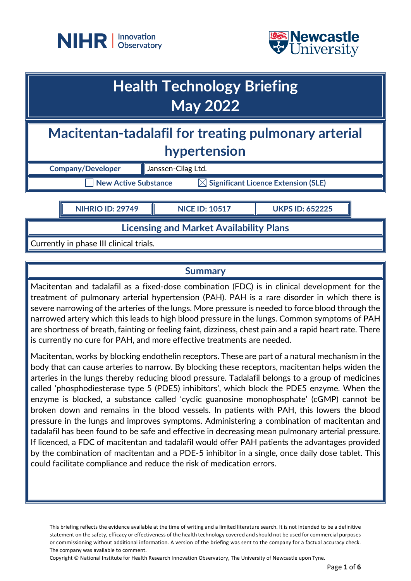



# **Macitentan-tadalafil for treating pulmonary arterial hypertension Company/Developer Journal** Janssen-Cilag Ltd.  $\Box$  New Active Substance  $\qquad \boxtimes$  Significant Licence Extension (SLE) **Health Technology Briefing May 2022 NIHRIO ID: 29749 NICE ID: 10517 UKPS ID: 652225**

**Licensing and Market Availability Plans**

Currently in phase III clinical trials.

# **Summary**

Macitentan and tadalafil as a fixed-dose combination (FDC) is in clinical development for the treatment of pulmonary arterial hypertension (PAH). PAH is a rare disorder in which there is severe narrowing of the arteries of the lungs. More pressure is needed to force blood through the narrowed artery which this leads to high blood pressure in the lungs. Common symptoms of PAH are shortness of breath, fainting or feeling faint, dizziness, chest pain and a rapid heart rate. There is currently no cure for PAH, and more effective treatments are needed.

Macitentan, works by blocking endothelin receptors. These are part of a natural mechanism in the body that can cause arteries to narrow. By blocking these receptors, macitentan helps widen the arteries in the lungs thereby reducing blood pressure. Tadalafil belongs to a group of medicines called 'phosphodiesterase type 5 (PDE5) inhibitors', which block the PDE5 enzyme. When the enzyme is blocked, a substance called 'cyclic guanosine monophosphate' (cGMP) cannot be broken down and remains in the blood vessels. In patients with PAH, this lowers the blood pressure in the lungs and improves symptoms. Administering a combination of macitentan and tadalafil has been found to be safe and effective in decreasing mean pulmonary arterial pressure. If licenced, a FDC of macitentan and tadalafil would offer PAH patients the advantages provided by the combination of macitentan and a PDE-5 inhibitor in a single, once daily dose tablet. This could facilitate compliance and reduce the risk of medication errors.

This briefing reflects the evidence available at the time of writing and a limited literature search. It is not intended to be a definitive statement on the safety, efficacy or effectiveness of the health technology covered and should not be used for commercial purposes or commissioning without additional information. A version of the briefing was sent to the company for a factual accuracy check. The company was available to comment.

Copyright © National Institute for Health Research Innovation Observatory, The University of Newcastle upon Tyne.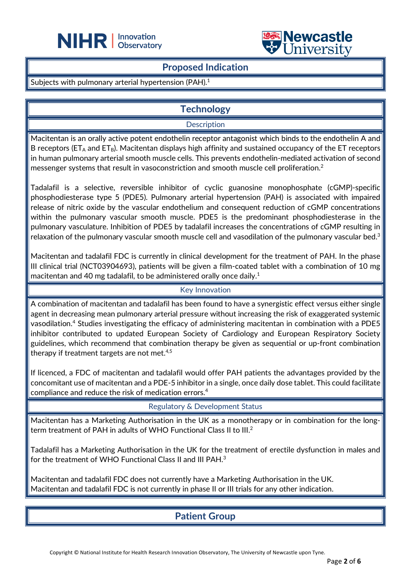



## **Proposed Indication**

 $\overline{a}$ 

## Subjects with pulmonary arterial hypertension (PAH).<sup>1</sup>

# **Technology**

## **Description**

Macitentan is an orally active potent endothelin receptor antagonist which binds to the endothelin A and B receptors ( $ET_A$  and  $ET_B$ ). Macitentan displays high affinity and sustained occupancy of the ET receptors in human pulmonary arterial smooth muscle cells. This prevents endothelin-mediated activation of second messenger systems that result in vasoconstriction and smooth muscle cell proliferation.<sup>2</sup>

Tadalafil is a selective, reversible inhibitor of cyclic guanosine monophosphate (cGMP)-specific phosphodiesterase type 5 (PDE5). Pulmonary arterial hypertension (PAH) is associated with impaired release of nitric oxide by the vascular endothelium and consequent reduction of cGMP concentrations within the pulmonary vascular smooth muscle. PDE5 is the predominant phosphodiesterase in the pulmonary vasculature. Inhibition of PDE5 by tadalafil increases the concentrations of cGMP resulting in relaxation of the pulmonary vascular smooth muscle cell and vasodilation of the pulmonary vascular bed.<sup>3</sup>

Macitentan and tadalafil FDC is currently in clinical development for the treatment of PAH. In the phase III clinical trial (NCT03904693), patients will be given a film-coated tablet with a combination of 10 mg macitentan and 40 mg tadalafil, to be administered orally once daily. $^{\rm 1}$ 

### Key Innovation

A combination of macitentan and tadalafil has been found to have a synergistic effect versus either single agent in decreasing mean pulmonary arterial pressure without increasing the risk of exaggerated systemic vasodilation.4 Studies investigating the efficacy of administering macitentan in combination with a PDE5 inhibitor contributed to updated European Society of Cardiology and European Respiratory Society guidelines, which recommend that combination therapy be given as sequential or up-front combination therapy if treatment targets are not met.<sup>4,5</sup>

If licenced, a FDC of macitentan and tadalafil would offer PAH patients the advantages provided by the concomitant use of macitentan and a PDE-5 inhibitor in a single, once daily dose tablet. This could facilitate compliance and reduce the risk of medication errors.4

Regulatory & Development Status

Macitentan has a Marketing Authorisation in the UK as a monotherapy or in combination for the longterm treatment of PAH in adults of WHO Functional Class II to III.<sup>2</sup>

Tadalafil has a Marketing Authorisation in the UK for the treatment of erectile dysfunction in males and for the treatment of WHO Functional Class II and III PAH.3

Macitentan and tadalafil FDC does not currently have a Marketing Authorisation in the UK. Macitentan and tadalafil FDC is not currently in phase II or III trials for any other indication.

# **Patient Group**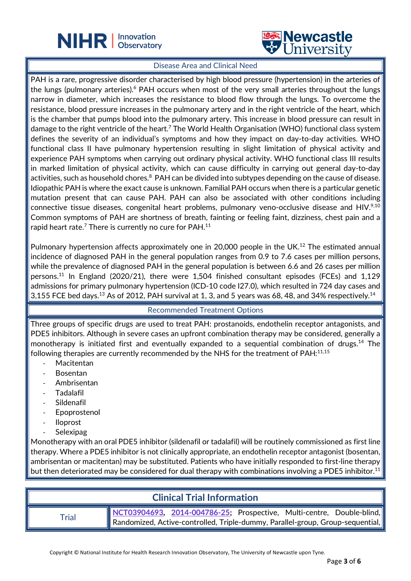



#### Disease Area and Clinical Need

 $\overline{a}$ 

PAH is a rare, progressive disorder characterised by high blood pressure (hypertension) in the arteries of the lungs (pulmonary arteries).<sup>6</sup> PAH occurs when most of the very small arteries throughout the lungs narrow in diameter, which increases the resistance to blood flow through the lungs. To overcome the resistance, blood pressure increases in the pulmonary artery and in the right ventricle of the heart, which is the chamber that pumps blood into the pulmonary artery. This increase in blood pressure can result in damage to the right ventricle of the heart.<sup>7</sup> The World Health Organisation (WHO) functional class system defines the severity of an individual's symptoms and how they impact on day-to-day activities. WHO functional class II have pulmonary hypertension resulting in slight limitation of physical activity and experience PAH symptoms when carrying out ordinary physical activity. WHO functional class III results in marked limitation of physical activity, which can cause difficulty in carrying out general day-to-day activities, such as household chores.<sup>8</sup> PAH can be divided into subtypes depending on the cause of disease. Idiopathic PAH is where the exact cause is unknown. Familial PAH occurs when there is a particular genetic mutation present that can cause PAH. PAH can also be associated with other conditions including connective tissue diseases, congenital heart problems, pulmonary veno-occlusive disease and HIV.<sup>9,10</sup> Common symptoms of PAH are shortness of breath, fainting or feeling faint, dizziness, chest pain and a rapid heart rate. $^7$  There is currently no cure for PAH. $^{\rm 11}$ 

Pulmonary hypertension affects approximately one in 20,000 people in the UK.<sup>12</sup> The estimated annual incidence of diagnosed PAH in the general population ranges from 0.9 to 7.6 cases per million persons, while the prevalence of diagnosed PAH in the general population is between 6.6 and 26 cases per million persons.<sup>11</sup> In England (2020/21), there were 1,504 finished consultant episodes (FCEs) and 1,129 admissions for primary pulmonary hypertension (ICD-10 code I27.0), which resulted in 724 day cases and 3,155 FCE bed days. $^{13}$  As of 2012, PAH survival at 1, 3, and 5 years was 68, 48, and 34% respectively. $^{14}$ 

## Recommended Treatment Options

Three groups of specific drugs are used to treat PAH: prostanoids, endothelin receptor antagonists, and PDE5 inhibitors. Although in severe cases an upfront combination therapy may be considered, generally a monotherapy is initiated first and eventually expanded to a sequential combination of drugs.<sup>14</sup> The following therapies are currently recommended by the NHS for the treatment of PAH:<sup>11,15</sup>

- **Macitentan**
- **Bosentan**
- Ambrisentan
- Tadalafil
- **Sildenafil**
- **Epoprostenol**
- Iloprost
- **Selexipag**

Monotherapy with an oral PDE5 inhibitor (sildenafil or tadalafil) will be routinely commissioned as first line therapy. Where a PDE5 inhibitor is not clinically appropriate, an endothelin receptor antagonist (bosentan, ambrisentan or macitentan) may be substituted. Patients who have initially responded to first-line therapy but then deteriorated may be considered for dual therapy with combinations involving a PDE5 inhibitor.<sup>11</sup>

# **Clinical Trial Information**

Trial **[NCT03904693,](https://clinicaltrials.gov/ct2/show/NCT03904693) [2014-004786-25;](https://www.clinicaltrialsregister.eu/ctr-search/search?query=2014-004786-25)** Prospective, Multi-centre, Double-blind, Randomized, Active-controlled, Triple-dummy, Parallel-group, Group-sequential,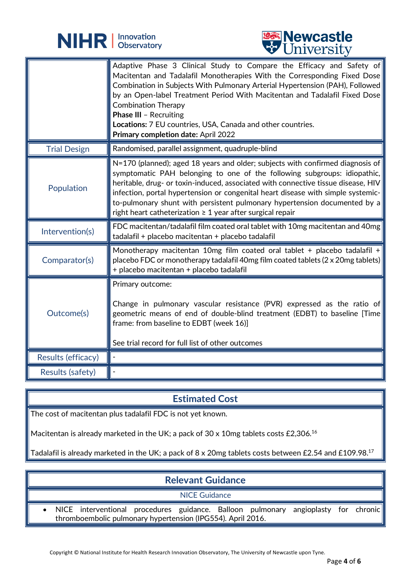

 $\overline{a}$ 



|                     | Adaptive Phase 3 Clinical Study to Compare the Efficacy and Safety of<br>Macitentan and Tadalafil Monotherapies With the Corresponding Fixed Dose<br>Combination in Subjects With Pulmonary Arterial Hypertension (PAH), Followed<br>by an Open-label Treatment Period With Macitentan and Tadalafil Fixed Dose<br><b>Combination Therapy</b><br><b>Phase III - Recruiting</b><br>Locations: 7 EU countries, USA, Canada and other countries.<br>Primary completion date: April 2022  |
|---------------------|---------------------------------------------------------------------------------------------------------------------------------------------------------------------------------------------------------------------------------------------------------------------------------------------------------------------------------------------------------------------------------------------------------------------------------------------------------------------------------------|
| <b>Trial Design</b> | Randomised, parallel assignment, quadruple-blind                                                                                                                                                                                                                                                                                                                                                                                                                                      |
| Population          | $N=170$ (planned); aged 18 years and older; subjects with confirmed diagnosis of<br>symptomatic PAH belonging to one of the following subgroups: idiopathic,<br>heritable, drug- or toxin-induced, associated with connective tissue disease, HIV<br>infection, portal hypertension or congenital heart disease with simple systemic-<br>to-pulmonary shunt with persistent pulmonary hypertension documented by a<br>right heart catheterization $\geq 1$ year after surgical repair |
|                     |                                                                                                                                                                                                                                                                                                                                                                                                                                                                                       |
| Intervention(s)     | FDC macitentan/tadalafil film coated oral tablet with 10mg macitentan and 40mg<br>tadalafil + placebo macitentan + placebo tadalafil                                                                                                                                                                                                                                                                                                                                                  |
| Comparator(s)       | Monotherapy macitentan 10mg film coated oral tablet + placebo tadalafil +<br>placebo FDC or monotherapy tadalafil 40mg film coated tablets (2 x 20mg tablets)<br>+ placebo macitentan + placebo tadalafil                                                                                                                                                                                                                                                                             |
| Outcome(s)          | Primary outcome:<br>Change in pulmonary vascular resistance (PVR) expressed as the ratio of<br>geometric means of end of double-blind treatment (EDBT) to baseline [Time<br>frame: from baseline to EDBT (week 16)]<br>See trial record for full list of other outcomes                                                                                                                                                                                                               |
| Results (efficacy)  |                                                                                                                                                                                                                                                                                                                                                                                                                                                                                       |

# **Estimated Cost**

The cost of macitentan plus tadalafil FDC is not yet known.

Macitentan is already marketed in the UK; a pack of 30 x 10mg tablets costs £2,306.<sup>16</sup>

Tadalafil is already marketed in the UK; a pack of 8 x 20mg tablets costs between £2.54 and £109.98.17

| <b>Relevant Guidance</b> |                                                                                                                                                     |  |  |
|--------------------------|-----------------------------------------------------------------------------------------------------------------------------------------------------|--|--|
| <b>NICE Guidance</b>     |                                                                                                                                                     |  |  |
|                          | • NICE interventional procedures guidance. Balloon pulmonary angioplasty for chronic<br>thromboembolic pulmonary hypertension (IPG554). April 2016. |  |  |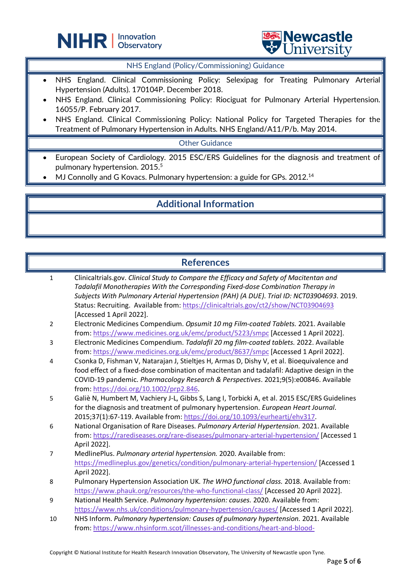



NHS England (Policy/Commissioning) Guidance

- NHS England. Clinical Commissioning Policy: Selexipag for Treating Pulmonary Arterial Hypertension (Adults). 170104P. December 2018.
- NHS England. Clinical Commissioning Policy: Riociguat for Pulmonary Arterial Hypertension. 16055/P. February 2017.
- NHS England. Clinical Commissioning Policy: National Policy for Targeted Therapies for the Treatment of Pulmonary Hypertension in Adults. NHS England/A11/P/b. May 2014.

Other Guidance

- European Society of Cardiology. 2015 ESC/ERS Guidelines for the diagnosis and treatment of pulmonary hypertension. 2015.5
- $\bullet$  MJ Connolly and G Kovacs. Pulmonary hypertension: a guide for GPs. 2012.<sup>14</sup>

 $\overline{a}$ 

# **Additional Information**

# **References**

- 1 Clinicaltrials.gov. *Clinical Study to Compare the Efficacy and Safety of Macitentan and Tadalafil Monotherapies With the Corresponding Fixed-dose Combination Therapy in Subjects With Pulmonary Arterial Hypertension (PAH) (A DUE)*. *Trial ID: NCT03904693*. 2019. Status: Recruiting. Available from[: https://clinicaltrials.gov/ct2/show/NCT03904693](https://clinicaltrials.gov/ct2/show/NCT03904693) [Accessed 1 April 2022].
- 2 Electronic Medicines Compendium. *Opsumit 10 mg Film-coated Tablets.* 2021. Available from:<https://www.medicines.org.uk/emc/product/5223/smpc> [Accessed 1 April 2022].
- 3 Electronic Medicines Compendium. *Tadalafil 20 mg film-coated tablets.* 2022. Available from:<https://www.medicines.org.uk/emc/product/8637/smpc> [Accessed 1 April 2022].
- 4 Csonka D, Fishman V, Natarajan J, Stieltjes H, Armas D, Dishy V, et al. Bioequivalence and food effect of a fixed-dose combination of macitentan and tadalafil: Adaptive design in the COVID-19 pandemic. *Pharmacology Research & Perspectives*. 2021;9(5):e00846. Available from: [https://doi.org/10.1002/prp2.846.](https://doi.org/10.1002/prp2.846)
- 5 Galiè N, Humbert M, Vachiery J-L, Gibbs S, Lang I, Torbicki A, et al. 2015 ESC/ERS Guidelines for the diagnosis and treatment of pulmonary hypertension. *European Heart Journal*. 2015;37(1):67-119. Available from[: https://doi.org/10.1093/eurheartj/ehv317.](https://doi.org/10.1093/eurheartj/ehv317)
- 6 National Organisation of Rare Diseases. *Pulmonary Arterial Hypertension.* 2021. Available from:<https://rarediseases.org/rare-diseases/pulmonary-arterial-hypertension/> [Accessed 1 April 2022].
- 7 MedlinePlus. *Pulmonary arterial hypertension.* 2020. Available from: <https://medlineplus.gov/genetics/condition/pulmonary-arterial-hypertension/> [Accessed 1 April 2022].
- 8 Pulmonary Hypertension Association UK. *The WHO functional class.* 2018. Available from: <https://www.phauk.org/resources/the-who-functional-class/> [Accessed 20 April 2022].
- 9 National Health Service. *Pulmonary hypertension: causes.* 2020. Available from: <https://www.nhs.uk/conditions/pulmonary-hypertension/causes/> [Accessed 1 April 2022].
- 10 NHS Inform. *Pulmonary hypertension: Causes of pulmonary hypertension.* 2021. Available from: [https://www.nhsinform.scot/illnesses-and-conditions/heart-and-blood-](https://www.nhsinform.scot/illnesses-and-conditions/heart-and-blood-vessels/conditions/pulmonary-hypertension/#causes-of-pulmonary-hypertension)